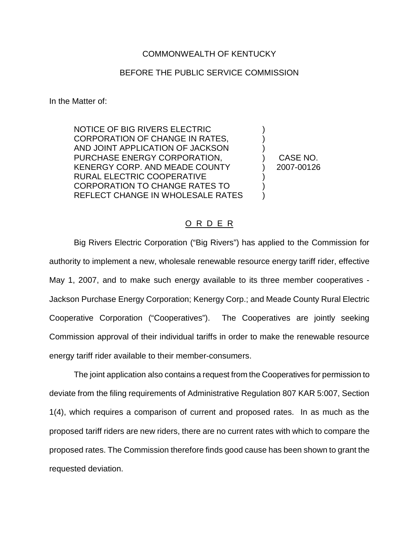## COMMONWEALTH OF KENTUCKY

## BEFORE THE PUBLIC SERVICE COMMISSION

In the Matter of:

NOTICE OF BIG RIVERS ELECTRIC CORPORATION OF CHANGE IN RATES, AND JOINT APPLICATION OF JACKSON PURCHASE ENERGY CORPORATION, KENERGY CORP. AND MEADE COUNTY RURAL ELECTRIC COOPERATIVE CORPORATION TO CHANGE RATES TO REFLECT CHANGE IN WHOLESALE RATES

) CASE NO. ) 2007-00126

) ) )

) ) )

## O R D E R

Big Rivers Electric Corporation ("Big Rivers") has applied to the Commission for authority to implement a new, wholesale renewable resource energy tariff rider, effective May 1, 2007, and to make such energy available to its three member cooperatives - Jackson Purchase Energy Corporation; Kenergy Corp.; and Meade County Rural Electric Cooperative Corporation ("Cooperatives"). The Cooperatives are jointly seeking Commission approval of their individual tariffs in order to make the renewable resource energy tariff rider available to their member-consumers.

The joint application also contains a request from the Cooperatives for permission to deviate from the filing requirements of Administrative Regulation 807 KAR 5:007, Section 1(4), which requires a comparison of current and proposed rates. In as much as the proposed tariff riders are new riders, there are no current rates with which to compare the proposed rates. The Commission therefore finds good cause has been shown to grant the requested deviation.